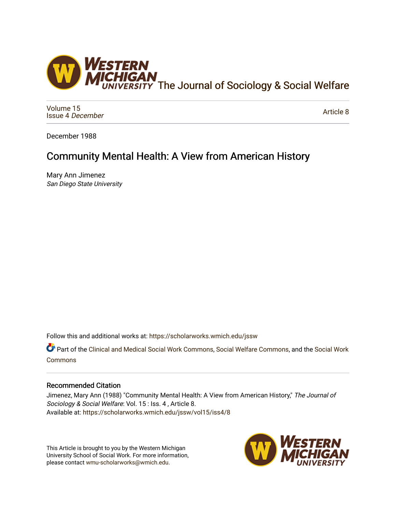

[Volume 15](https://scholarworks.wmich.edu/jssw/vol15) [Issue 4](https://scholarworks.wmich.edu/jssw/vol15/iss4) December

[Article 8](https://scholarworks.wmich.edu/jssw/vol15/iss4/8) 

December 1988

## Community Mental Health: A View from American History

Mary Ann Jimenez San Diego State University

Follow this and additional works at: [https://scholarworks.wmich.edu/jssw](https://scholarworks.wmich.edu/jssw?utm_source=scholarworks.wmich.edu%2Fjssw%2Fvol15%2Fiss4%2F8&utm_medium=PDF&utm_campaign=PDFCoverPages) 

Part of the [Clinical and Medical Social Work Commons,](http://network.bepress.com/hgg/discipline/712?utm_source=scholarworks.wmich.edu%2Fjssw%2Fvol15%2Fiss4%2F8&utm_medium=PDF&utm_campaign=PDFCoverPages) [Social Welfare Commons,](http://network.bepress.com/hgg/discipline/401?utm_source=scholarworks.wmich.edu%2Fjssw%2Fvol15%2Fiss4%2F8&utm_medium=PDF&utm_campaign=PDFCoverPages) and the [Social Work](http://network.bepress.com/hgg/discipline/713?utm_source=scholarworks.wmich.edu%2Fjssw%2Fvol15%2Fiss4%2F8&utm_medium=PDF&utm_campaign=PDFCoverPages) [Commons](http://network.bepress.com/hgg/discipline/713?utm_source=scholarworks.wmich.edu%2Fjssw%2Fvol15%2Fiss4%2F8&utm_medium=PDF&utm_campaign=PDFCoverPages)

## Recommended Citation

Jimenez, Mary Ann (1988) "Community Mental Health: A View from American History," The Journal of Sociology & Social Welfare: Vol. 15 : Iss. 4 , Article 8. Available at: [https://scholarworks.wmich.edu/jssw/vol15/iss4/8](https://scholarworks.wmich.edu/jssw/vol15/iss4/8?utm_source=scholarworks.wmich.edu%2Fjssw%2Fvol15%2Fiss4%2F8&utm_medium=PDF&utm_campaign=PDFCoverPages)

This Article is brought to you by the Western Michigan University School of Social Work. For more information, please contact [wmu-scholarworks@wmich.edu.](mailto:wmu-scholarworks@wmich.edu)

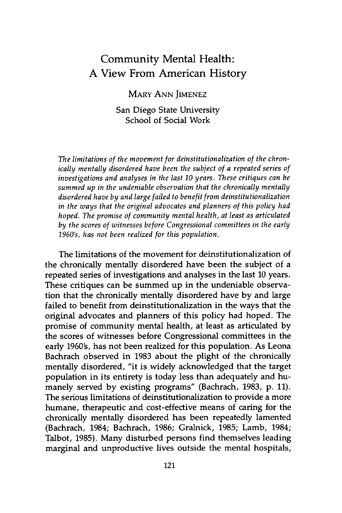## Community Mental Health: **A** View From American History

MARY ANN JIMENEZ

San Diego State University School of Social Work

*The limitations of the movement for deinstitutionalization of the chronically mentally disordered have been the subject of a repeated series of investigations and analyses in the last 10 years. These critiques can be summed up in the undeniable observation that the chronically mentally disordered have by and large failed to benefit from deinstitutionalization in the ways that the original advocates and planners of this policy had hoped. The promise of community mental health, at least as articulated by the scores of witnesses before Congressional committees in the early 1960's, has not been realized for this population.*

The limitations of the movement for deinstitutionalization of the chronically mentally disordered have been the subject of a repeated series of investigations and analyses in the last 10 years. These critiques can be summed up in the undeniable observation that the chronically mentally disordered have by and large failed to benefit from deinstitutionalization in the ways that the original advocates and planners of this policy had hoped. The promise of community mental health, at least as articulated by the scores of witnesses before Congressional committees in the early 1960's, has not been realized for this population. As Leona Bachrach observed in 1983 about the plight of the chronically mentally disordered, "it is widely acknowledged that the target population in its entirety is today less than adequately and humanely served by existing programs" (Bachrach, 1983, p. 11). The serious limitations of deinstitutionalization to provide a more humane, therapeutic and cost-effective means of caring for the chronically mentally disordered has been repeatedly lamented (Bachrach, 1984; Bachrach, 1986; Gralnick, 1985; Lamb, 1984; Talbot, 1985). Many disturbed persons find themselves leading marginal and unproductive lives outside the mental hospitals,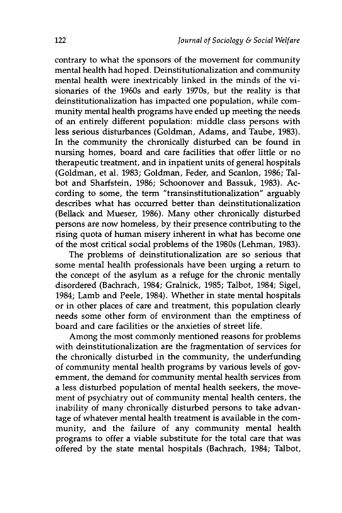contrary to what the sponsors of the movement for community mental health had hoped. Deinstitutionalization and community mental health were inextricably linked in the minds of the visionaries of the 1960s and early 1970s, but the reality is that deinstitutionalization has impacted one population, while community mental health programs have ended up meeting the needs of an entirely different population: middle class persons with less serious disturbances (Goldman, Adams, and Taube, 1983). In the community the chronically disturbed can be found in nursing homes, board and care facilities that offer little or no therapeutic treatment, and in inpatient units of general hospitals (Goldman, et al. 1983; Goldman, Feder, and Scanlon, 1986; Talbot and Sharfstein, 1986; Schoonover and Bassuk, 1983). According to some, the term "transinstitutionalization" arguably describes what has occurred better than deinstitutionalization (Bellack and Mueser, 1986). Many other chronically disturbed persons are now homeless, by their presence contributing to the rising quota of human misery inherent in what has become one of the most critical social problems of the 1980s (Lehman, 1983).

The problems of deinstitutionalization are so serious that some mental health professionals have been urging a return to the concept of the asylum as a refuge for the chronic mentally disordered (Bachrach, 1984; Gralnick, 1985; Talbot, 1984; Sigel, 1984; Lamb and Peele, 1984). Whether in state mental hospitals or in other places of care and treatment, this population clearly needs some other form of environment than the emptiness of board and care facilities or the anxieties of street life.

Among the most commonly mentioned reasons for problems with deinstitutionalization are the fragmentation of services for the chronically disturbed in the community, the underfunding of community mental health programs by various levels of government, the demand for community mental health services from a less disturbed population of mental health seekers, the movement of psychiatry out of community mental health centers, the inability of many chronically disturbed persons to take advantage of whatever mental health treatment is available in the community, and the failure of any community mental health programs to offer a viable substitute for the total care that was offered by the state mental hospitals (Bachrach, 1984; Talbot,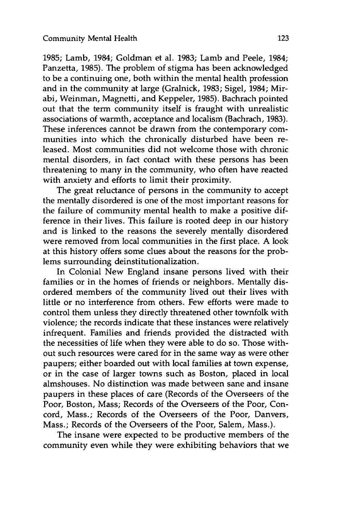**1985;** Lamb, 1984; Goldman et al. **1983;** Lamb and Peele, 1984; Panzetta, **1985).** The problem of stigma has been acknowledged to be a continuing one, both within the mental health profession and in the community at large (Gralnick, **1983;** Sigel, 1984; Mirabi, Weinman, Magnetti, and Keppeler, **1985).** Bachrach pointed out that the term community itself is fraught with unrealistic associations of warmth, acceptance and localism (Bachrach, **1983).** These inferences cannot be drawn from the contemporary communities into which the chronically disturbed have been released. Most communities did not welcome those with chronic mental disorders, in fact contact with these persons has been threatening to many in the community, who often have reacted with anxiety and efforts to limit their proximity.

The great reluctance of persons in the community to accept the mentally disordered is one of the most important reasons for the failure of community mental health to make a positive difference in their lives. This failure is rooted deep in our history and is linked to the reasons the severely mentally disordered were removed from local communities in the first place. A look at this history offers some clues about the reasons for the problems surrounding deinstitutionalization.

In Colonial New England insane persons lived with their families or in the homes of friends or neighbors. Mentally disordered members of the community lived out their lives with little or no interference from others. Few efforts were made to control them unless they directly threatened other townfolk with violence; the records indicate that these instances were relatively infrequent. Families and friends provided the distracted with the necessities of life when they were able to do so. Those without such resources were cared for in the same way as were other paupers; either boarded out with local families at town expense, or in the case of larger towns such as Boston, placed in local almshouses. No distinction was made between sane and insane paupers in these places of care (Records of the Overseers of the Poor, Boston, Mass; Records of the Overseers of the Poor, Concord, Mass.; Records of the Overseers of the Poor, Danvers, Mass.; Records of the Overseers of the Poor, Salem, Mass.).

The insane were expected to be productive members of the community even while they were exhibiting behaviors that we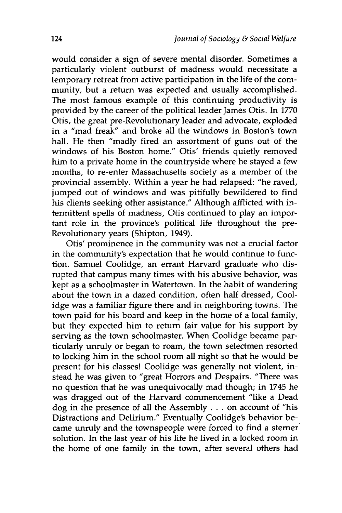would consider a sign of severe mental disorder. Sometimes a particularly violent outburst of madness would necessitate a temporary retreat from active participation in the life of the community, but a return was expected and usually accomplished. The most famous example of this continuing productivity is provided by the career of the political leader James Otis. In 1770 Otis, the great pre-Revolutionary leader and advocate, exploded in a "mad freak" and broke all the windows in Boston's town hall. He then "madly fired an assortment of guns out of the windows of his Boston home." Otis' friends quietly removed him to a private home in the countryside where he stayed a few months, to re-enter Massachusetts society as a member of the provincial assembly. Within a year he had relapsed: "he raved, jumped out of windows and was pitifully bewildered to find his clients seeking other assistance." Although afflicted with intermittent spells of madness, Otis continued to play an important role in the province's political life throughout the pre-Revolutionary years (Shipton, 1949).

Otis' prominence in the community was not a crucial factor in the community's expectation that he would continue to function. Samuel Coolidge, an errant Harvard graduate who disrupted that campus many times with his abusive behavior, was kept as a schoolmaster in Watertown. In the habit of wandering about the town in a dazed condition, often half dressed, Coolidge was a familiar figure there and in neighboring towns. The town paid for his board and keep in the home of a local family, but they expected him to return fair value for his support by serving as the town schoolmaster. When Coolidge became particularly unruly or began to roam, the town selectmen resorted to locking him in the school room all night so that he would be present for his classes! Coolidge was generally not violent, instead he was given to "great Horrors and Despairs. "There was no question that he was unequivocally mad though; in 1745 he was dragged out of the Harvard commencement "like a Dead dog in the presence of all the Assembly **...** on account of "his Distractions and Delirium." Eventually Coolidge's behavior became unruly and the townspeople were forced to find a sterner solution. In the last year of his life he lived in a locked room in the home of one family in the town, after several others had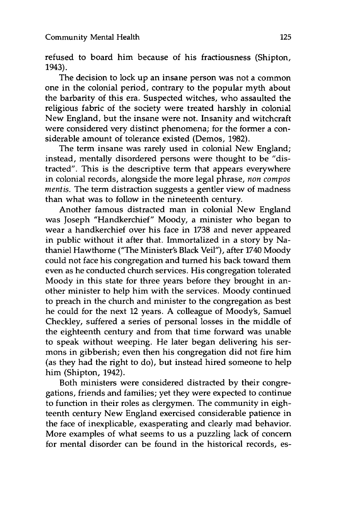refused to board him because of his fractiousness (Shipton, 1943).

The decision to lock up an insane person was not a common one in the colonial period, contrary to the popular myth about the barbarity of this era. Suspected witches, who assaulted the religious fabric of the society were treated harshly in colonial New England, but the insane were not. Insanity and witchcraft were considered very distinct phenomena; for the former a considerable amount of tolerance existed (Demos, 1982).

The term insane was rarely used in colonial New England; instead, mentally disordered persons were thought to be "distracted". This is the descriptive term that appears everywhere in colonial records, alongside the more legal phrase, *non compos mentis.* The term distraction suggests a gentler view of madness than what was to follow in the nineteenth century.

Another famous distracted man in colonial New England was Joseph "Handkerchief" Moody, a minister who began to wear a handkerchief over his face in 1738 and never appeared in public without it after that. Immortalized in a story by Nathaniel Hawthorne ("The Minister's Black Veil"), after 1740 Moody could not face his congregation and turned his back toward them even as he conducted church services. His congregation tolerated Moody in this state for three years before they brought in another minister to help him with the services. Moody continued to preach in the church and minister to the congregation as best he could for the next 12 years. A colleague of Moody's, Samuel Checkley, suffered a series of personal losses in the middle of the eighteenth century and from that time forward was unable to speak without weeping. He later began delivering his sermons in gibberish; even then his congregation did not fire him (as they had the right to do), but instead hired someone to help him (Shipton, 1942).

Both ministers were considered distracted by their congregations, friends and families; yet they were expected to continue to function in their roles as clergymen. The community in eighteenth century New England exercised considerable patience in the face of inexplicable, exasperating and clearly mad behavior. More examples of what seems to us a puzzling lack of concern for mental disorder can be found in the historical records, es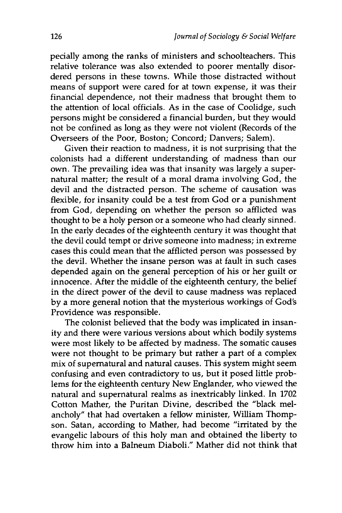pecially among the ranks of ministers and schoolteachers. This relative tolerance was also extended to poorer mentally disordered persons in these towns. While those distracted without means of support were cared for at town expense, it was their financial dependence, not their madness that brought them to the attention of local officials. As in the case of Coolidge, such persons might be considered a financial burden, but they would not be confined as long as they were not violent (Records of the Overseers of the Poor, Boston; Concord; Danvers; Salem).

Given their reaction to madness, it is not surprising that the colonists had a different understanding of madness than our own. The prevailing idea was that insanity was largely a supernatural matter; the result of a moral drama involving God, the devil and the distracted person. The scheme of causation was flexible, for insanity could be a test from God or a punishment from God, depending on whether the person so afflicted was thought to be a holy person or a someone who had clearly sinned. In the early decades of the eighteenth century it was thought that the devil could tempt or drive someone into madness; in extreme cases this could mean that the afflicted person was possessed by the devil. Whether the insane person was at fault in such cases depended again on the general perception of his or her guilt or innocence. After the middle of the eighteenth century, the belief in the direct power of the devil to cause madness was replaced by a more general notion that the mysterious workings of God's Providence was responsible.

The colonist believed that the body was implicated in insanity and there were various versions about which bodily systems were most likely to be affected by madness. The somatic causes were not thought to be primary but rather a part of a complex mix of supernatural and natural causes. This system might seem confusing and even contradictory to us, but it posed little problems for the eighteenth century New Englander, who viewed the natural and supernatural realms as inextricably linked. In 1702 Cotton Mather, the Puritan Divine, described the "black melancholy" that had overtaken a fellow minister, William Thompson. Satan, according to Mather, had become "irritated by the evangelic labours of this holy man and obtained the liberty to throw him into a Balneum Diaboli." Mather did not think that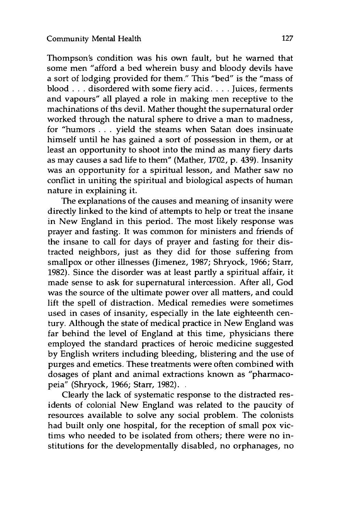Thompson's condition was his own fault, but he warned that some men "afford a bed wherein busy and bloody devils have a sort of lodging provided for them." This "bed" is the "mass of blood **...** disordered with some fiery acid **....** Juices, ferments and vapours" all played a role in making men receptive to the machinations of ths devil. Mather thought the supernatural order worked through the natural sphere to drive a man to madness, for "humors . **.** . yield the steams when Satan does insinuate himself until he has gained a sort of possession in them, or at least an opportunity to shoot into the mind as many fiery darts as may causes a sad life to them" (Mather, 1702, p. 439). Insanity was an opportunity for a spiritual lesson, and Mather saw no conflict in uniting the spiritual and biological aspects of human nature in explaining it.

The explanations of the causes and meaning of insanity were directly linked to the kind of attempts to help or treat the insane in New England in this period. The most likely response was prayer and fasting. It was common for ministers and friends of the insane to call for days of prayer and fasting for their distracted neighbors, just as they did for those suffering from smallpox or other illnesses (Jimenez, 1987; Shryock, 1966; Starr, 1982). Since the disorder was at least partly a spiritual affair, it made sense to ask for supernatural intercession. After all, God was the source of the ultimate power over all matters, and could lift the spell of distraction. Medical remedies were sometimes used in cases of insanity, especially in the late eighteenth century. Although the state of medical practice in New England was far behind the level of England at this time, physicians there employed the standard practices of heroic medicine suggested by English writers including bleeding, blistering and the use of purges and emetics. These treatments were often combined with dosages of plant and animal extractions known as "pharmacopeia" (Shryock, 1966; Starr, 1982).

Clearly the lack of systematic response to the distracted residents of colonial New England was related to the paucity of resources available to solve any social problem. The colonists had built only one hospital, for the reception of small pox victims who needed to be isolated from others; there were no institutions for the developmentally disabled, no orphanages, no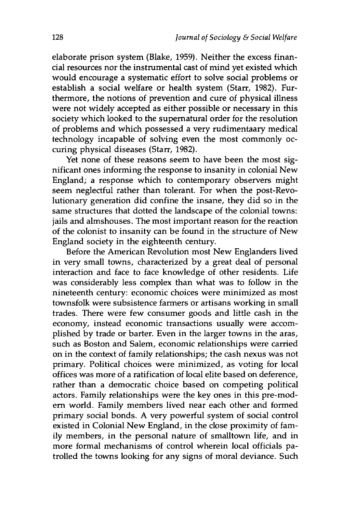elaborate prison system (Blake, **1959).** Neither the excess financial resources nor the instrumental cast of mind yet existed which would encourage a systematic effort to solve social problems or establish a social welfare or health system (Starr, 1982). Furthermore, the notions of prevention and cure of physical illness were not widely accepted as either possible or necessary in this society which looked to the supernatural order for the resolution of problems and which possessed a very rudimentaary medical technology incapable of solving even the most commonly occuring physical diseases (Starr, 1982).

Yet none of these reasons seem to have been the most significant ones informing the response to insanity in colonial New England; a response which to contemporary observers might seem neglectful rather than tolerant. For when the post-Revolutionary generation did confine the insane, they did so in the same structures that dotted the landscape of the colonial towns: jails and almshouses. The most important reason for the reaction of the colonist to insanity can be found in the structure of New England society in the eighteenth century.

Before the American Revolution most New Englanders lived in very small towns, characterized by a great deal of personal interaction and face to face knowledge of other residents. Life was considerably less complex than what was to follow in the nineteenth century: economic choices were minimized as most townsfolk were subsistence farmers or artisans working in small trades. There were few consumer goods and little cash in the economy, instead economic transactions usually were accomplished by trade or barter. Even in the larger towns in the aras, such as Boston and Salem, economic relationships were carried on in the context of family relationships; the cash nexus was not primary. Political choices were minimized, as voting for local offices was more of a ratification of local elite based on deference, rather than a democratic choice based on competing political actors. Family relationships were the key ones in this pre-modern world. Family members lived near each other and formed primary social bonds. A very powerful system of social control existed in Colonial New England, in the close proximity of family members, in the personal nature of smalltown life, and in more formal mechanisms of control wherein local officials patrolled the towns looking for any signs of moral deviance. Such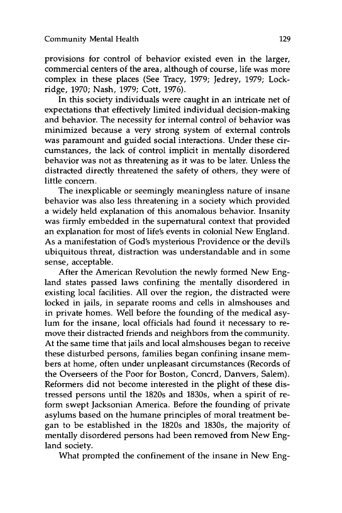provisions for control of behavior existed even in the larger, commercial centers of the area, although of course, life was more complex in these places (See Tracy, 1979; Jedrey, 1979; Lockridge, 1970; Nash, 1979; Cott, 1976).

In this society individuals were caught in an intricate net of expectations that effectively limited individual decision-making and behavior. The necessity for internal control of behavior was minimized because a very strong system of external controls was paramount and guided social interactions. Under these circumstances, the lack of control implicit in mentally disordered behavior was not as threatening as it was to be later. Unless the distracted directly threatened the safety of others, they were of little concern.

The inexplicable or seemingly meaningless nature of insane behavior was also less threatening in a society which provided a widely held explanation of this anomalous behavior. Insanity was firmly embedded in the supernatural context that provided an explanation for most of life's events in colonial New England. As a manifestation of God's mysterious Providence or the devil's ubiquitous threat, distraction was understandable and in some sense, acceptable.

After the American Revolution the newly formed New England states passed laws confining the mentally disordered in existing local facilities. All over the region, the distracted were locked in jails, in separate rooms and cells in almshouses and in private homes. Well before the founding of the medical asylum for the insane, local officials had found it necessary to remove their distracted friends and neighbors from the community. At the same time that jails and local almshouses began to receive these disturbed persons, families began confining insane members at home, often under unpleasant circumstances (Records of the Overseers of the Poor for Boston, Concrd, Danvers, Salem). Reformers did not become interested in the plight of these distressed persons until the 1820s and 1830s, when a spirit of reform swept Jacksonian America. Before the founding of private asylums based on the humane principles of moral treatment began to be established in the 1820s and 1830s, the majority of mentally disordered persons had been removed from New England society.

What prompted the confinement of the insane in New Eng-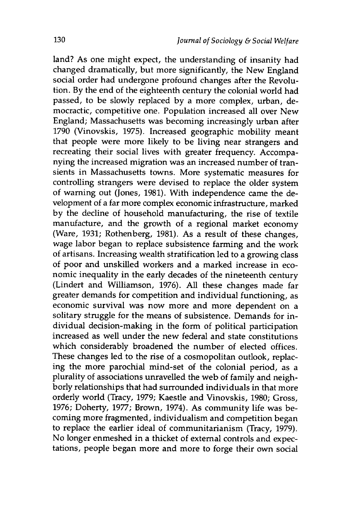land? As one might expect, the understanding of insanity had changed dramatically, but more significantly, the New England social order had undergone profound changes after the Revolution. By the end of the eighteenth century the colonial world had passed, to be slowly replaced by a more complex, urban, democractic, competitive one. Population increased all over New England; Massachusetts was becoming increasingly urban after 1790 (Vinovskis, 1975). Increased geographic mobility meant that people were more likely to be living near strangers and recreating their social lives with greater frequency. Accompanying the increased migration was an increased number of transients in Massachusetts towns. More systematic measures for controlling strangers were devised to replace the older system of warning out (Jones, 1981). With independence came the development of a far more complex economic infrastructure, marked by the decline of household manufacturing, the rise of textile manufacture, and the growth of a regional market economy (Ware, 1931; Rothenberg, 1981). As a result of these changes, wage labor began to replace subsistence farming and the work of artisans. Increasing wealth stratification led to a growing class of poor and unskilled workers and a marked increase in economic inequality in the early decades of the nineteenth century (Lindert and Williamson, 1976). All these changes made far greater demands for competition and individual functioning, as economic survival was now more and more dependent on a solitary struggle for the means of subsistence. Demands for individual decision-making in the form of political participation increased as well under the new federal and state constitutions which considerably broadened the number of elected offices. These changes led to the rise of a cosmopolitan outlook, replacing the more parochial mind-set of the colonial period, as a plurality of associations unravelled the web of family and neighborly relationships that had surrounded individuals in that more orderly world (Tracy, 1979; Kaestle and Vinovskis, 1980; Gross, 1976; Doherty, 1977; Brown, 1974). As community life was becoming more fragmented, individualism and competition began to replace the earlier ideal of communitarianism (Tracy, 1979). No longer enmeshed in a thicket of external controls and expectations, people began more and more to forge their own social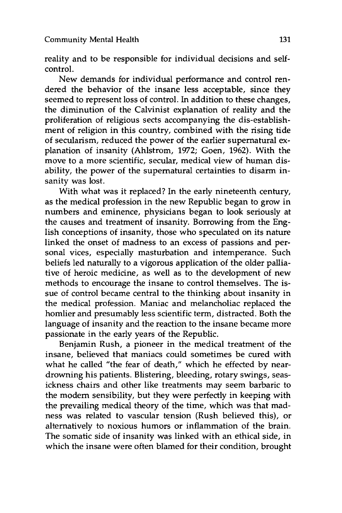reality and to be responsible for individual decisions and selfcontrol.

New demands for individual performance and control rendered the behavior of the insane less acceptable, since they seemed to represent loss of control. In addition to these changes, the diminution of the Calvinist explanation of reality and the proliferation of religious sects accompanying the dis-establishment of religion in this country, combined with the rising tide of secularism, reduced the power of the earlier supernatural explanation of insanity (Ahlstrom, 1972; Goen, 1962). With the move to a more scientific, secular, medical view of human disability, the power of the supernatural certainties to disarm insanity was lost.

With what was it replaced? In the early nineteenth century, as the medical profession in the new Republic began to grow in numbers and eminence, physicians began to look seriously at the causes and treatment of insanity. Borrowing from the English conceptions of insanity, those who speculated on its nature linked the onset of madness to an excess of passions and personal vices, especially masturbation and intemperance. Such beliefs led naturally to a vigorous application of the older palliative of heroic medicine, as well as to the development of new methods to encourage the insane to control themselves. The issue of control became central to the thinking about insanity in the medical profession. Maniac and melancholiac replaced the homlier and presumably less scientific term, distracted. Both the language of insanity and the reaction to the insane became more passionate in the early years of the Republic.

Benjamin Rush, a pioneer in the medical treatment of the insane, believed that maniacs could sometimes be cured with what he called "the fear of death," which he effected by neardrowning his patients. Blistering, bleeding, rotary swings, seasickness chairs and other like treatments may seem barbaric to the modem sensibility, but they were perfectly in keeping with the prevailing medical theory of the time, which was that madness was related to vascular tension (Rush believed this), or alternatively to noxious humors or inflammation of the brain. The somatic side of insanity was linked with an ethical side, in which the insane were often blamed for their condition, brought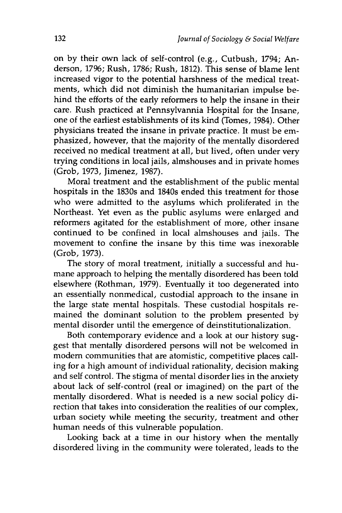on **by** their own lack of self-control (e.g., Cutbush, 1794; Anderson, **1796;** Rush, **1786;** Rush, **1812).** This sense of blame lent increased vigor to the potential harshness of the medical treatments, which did not diminish the humanitarian impulse behind the efforts of the early reformers to help the insane in their care. Rush practiced at Pennsylvannia Hospital for the Insane, one of the earliest establishments of its kind (Tomes, 1984). Other physicians treated the insane in private practice. It must be emphasized, however, that the majority of the mentally disordered received no medical treatment at all, but lived, often under very trying conditions in local jails, almshouses and in private homes (Grob, 1973, Jimenez, 1987).

Moral treatment and the establishment of the public mental hospitals in the 1830s and 1840s ended this treatment for those who were admitted to the asylums which proliferated in the Northeast. Yet even as the public asylums were enlarged and reformers agitated for the establishment of more, other insane continued to be confined in local almshouses and jails. The movement to confine the insane by this time was inexorable (Grob, 1973).

The story of moral treatment, initially a successful and humane approach to helping the mentally disordered has been told elsewhere (Rothman, 1979). Eventually it too degenerated into an essentially nonmedical, custodial approach to the insane in the large state mental hospitals. These custodial hospitals remained the dominant solution to the problem presented by mental disorder until the emergence of deinstitutionalization.

Both contemporary evidence and a look at our history suggest that mentally disordered persons will not be welcomed in modem communities that are atomistic, competitive places calling for a high amount of individual rationality, decision making and self control. The stigma of mental disorder lies in the anxiety about lack of self-control (real or imagined) on the part of the mentally disordered. What is needed is a new social policy direction that takes into consideration the realities of our complex, urban society while meeting the security, treatment and other human needs of this vulnerable population.

Looking back at a time in our history when the mentally disordered living in the community were tolerated, leads to the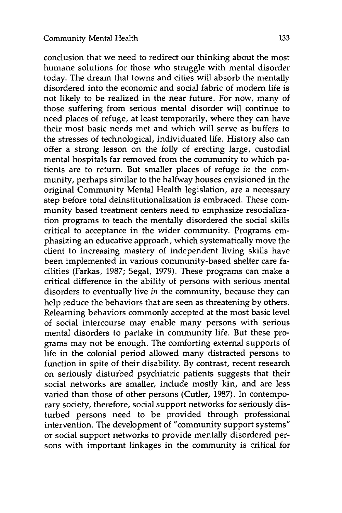conclusion that we need to redirect our thinking about the most humane solutions for those who struggle with mental disorder today. The dream that towns and cities will absorb the mentally disordered into the economic and social fabric of modem life is not likely to be realized in the near future. For now, many of those suffering from serious mental disorder will continue to need places of refuge, at least temporarily, where they can have their most basic needs met and which will serve as buffers to the stresses of technological, individuated life. History also can offer a strong lesson on the folly of erecting large, custodial mental hospitals far removed from the community to which patients are to return. But smaller places of refuge *in* the community, perhaps similar to the halfway houses envisioned in the original Community Mental Health legislation, are a necessary step before total deinstitutionalization is embraced. These community based treatment centers need to emphasize resocialization programs to teach the mentally disordered the social skills critical to acceptance in the wider community. Programs emphasizing an educative approach, which systematically move the client to increasing mastery of independent living skills have been implemented in various community-based shelter care facilities (Farkas, 1987; Segal, 1979). These programs can make a critical difference in the ability of persons with serious mental disorders to eventually live *in* the community, because they can help reduce the behaviors that are seen as threatening by others. Relearning behaviors commonly accepted at the most basic level of social intercourse may enable many persons with serious mental disorders to partake in community life. But these programs may not be enough. The comforting external supports of life in the colonial period allowed many distracted persons to function in spite of their disability. By contrast, recent research on seriously disturbed psychiatric patients suggests that their social networks are smaller, include mostly kin, and are less varied than those of other persons (Cutler, 1987). In contemporary society, therefore, social support networks for seriously disturbed persons need to be provided through professional intervention. The development of "community support systems" or social support networks to provide mentally disordered persons with important linkages in the community is critical for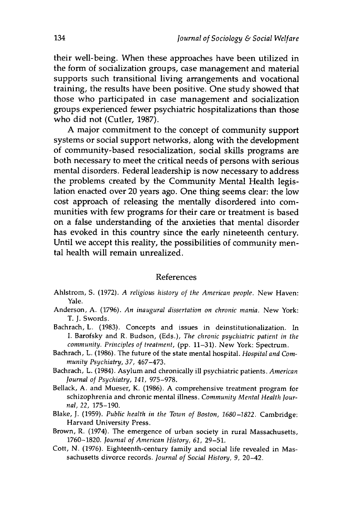their well-being. When these approaches have been utilized in the form of socialization groups, case management and material supports such transitional living arrangements and vocational training, the results have been positive. One study showed that those who participated in case management and socialization groups experienced fewer psychiatric hospitalizations than those who did not (Cutler, **1987).**

**A** major commitment to the concept of community support systems or social support networks, along with the development of community-based resocialization, social skills programs are both necessary to meet the critical needs of persons with serious mental disorders. Federal leadership is now necessary to address the problems created **by** the Community Mental Health legislation enacted over 20 years ago. One thing seems clear: the low cost approach of releasing the mentally disordered into communities with few programs for their care or treatment is based on a false understanding of the anxieties that mental disorder has evoked in this country since the early nineteenth century. Until we accept this reality, the possibilities of community mental health will remain unrealized.

## References

- Ahlstrom, **S. (1972).** *A religious history of the American people.* New Haven: Yale.
- Anderson, **A. (1796).** *An inaugural dissertation on chronic mania.* New York: T. **J.** Swords.
- Bachrach, L. **(1983).** Concepts and issues in deinstitutionalization. In **I.** Barofsky and R. Budson, (Eds.), *The chronic psychiatric patient in the community. Principles of treatment,* **(pp. 11-31).** New York: Spectrum.
- Bachrach, L. **(1986).** The future of the state mental hospital. *Hospital and Community Psychiatry, 37,* 467-473.
- Bachrach, L. (1984). Asylum and chronically ill psychiatric patients. *American Journal of Psychiatry, 141,* **975-978.**
- Bellack, **A.** and Mueser, K. **(1986). A** comprehensive treatment program for schizophrenia and chronic mental illness. *Community Mental Health Journal, 22,* **175-190.**
- Blake, **J. (1959).** *Public health in the Town of Boston, 1680-1822.* Cambridge: Harvard University Press.
- Brown, R. (1974). The emergence of urban society in rural Massachusetts, **1760-1820.** *Journal of American History, 61,* **29-51.**
- Cott, **N. (1976).** Eighteenth-century family and social life revealed in Massachusetts divorce records. *Journal of Social History, 9,* 20-42.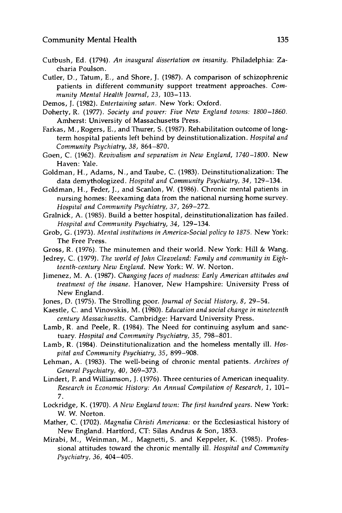- Cutbush, Ed. (1794). *An inaugural dissertation on insanity.* Philadelphia: Zacharia Poulson.
- Cutler, D., Tatum, E., and Shore, J. (1987). A comparison of schizophrenic patients in different community support treatment approaches. *Community Mental Health Journal, 23,* 103-113.
- Demos, **J.** (1982). *Entertaining satan.* New York: Oxford.
- Doherty, R. (1977). *Society and power: Five New England towns: 1800-1860.* Amherst: University of Massachusetts Press.
- Farkas, M., Rogers, E., and Thurer, S. (1987). Rehabilitation outcome of longterm hospital patients left behind by deinstitutionalization. *Hospital and Community Psychiatry, 38,* 864-870.
- Goen, C. (1962). *Revivalism and separatism in New England, 1740-1800.* New Haven: Yale.
- Goldman, H., Adams, N., and Taube, C. (1983). Deinstitutionalization: The data demythologized. *Hospital and Community Psychiatry, 34,* 129-134.
- Goldman, H., Feder, J., and Scanlon, W. (1986). Chronic mental patients in nursing homes: Reexaming data from the national nursing home survey. *Hospital and Community Psychiatry, 37,* 269-272.
- Gralnick, A. (1985). Build a better hospital, deinstitutionalization has failed. *Hospital and Community Psychiatry, 34,* 129-134.
- Grob, **G.** (1973). *Mental institutions in America-Social policy to 1875.* New York: The Free Press.
- Gross, R. (1976). The minutemen and their world. New York: Hill & Wang.
- Jedrey, C. (1979). *The world of John Cleaveland: Family and community in Eighteenth-century New England.* New York: W. W. Norton.
- Jimenez, M. A. (1987). *Changing faces of madness: Early American attitudes and treatment of the insane.* Hanover, New Hampshire: University Press of New England.
- Jones, D. (1975). The Strolling poor. *Journal of Social History, 8,* 29-54.
- Kaestle, C. and Vinovskis, M. (1980). *Education and social change in nineteenth century Massachusetts.* Cambridge: Harvard University Press.
- Lamb, R. and Peele, R. (1984). The Need for continuing asylum and sanctuary. *Hospital and Community Psychiatry, 35,* 798-801.
- Lamb, R. (1984). Deinstitutionalization and the homeless mentally ill. *Hospital and Community Psychiatry, 35,* 899-908.
- Lehman, A. (1983). The well-being of chronic mental patients. *Archives of General Psychiatry, 40,* 369-373.
- Lindert, P. and Williamson, **J.** (1976). Three centuries of American inequality. *Research in Economic History: An Annual Compilation of Research, 1,* 101- 7.
- Lockridge, K. (1970). *A New England town: The first hundred years.* New York: W. W. Norton.
- Mather, C. (1702). *Magnalia Christi Americana:* or the Ecclesiastical history of New England. Hartford, CT: Silas Andrus & Son, 1853.
- Mirabi, M., Weinman, M., Magnetti, S. and Keppeler, K. (1985). Professional attitudes toward the chronic mentally ill. *Hospital and Community Psychiatry, 36,* 404-405.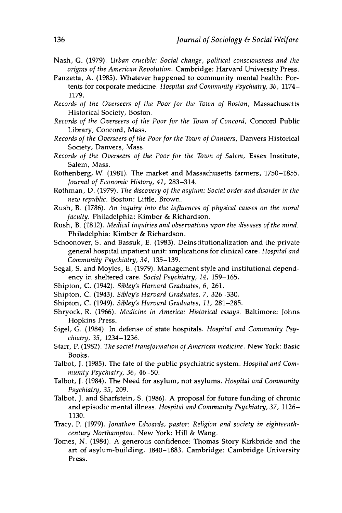- Nash, **G. (1979).** *Urban crucible: Social change, political consciousness and the origins of the American Revolution.* Cambridge: Harvard University Press.
- Panzetta, **A. (1985).** Whatever happened to community mental health: Portents for corporate medicine. *Hospital and Community Psychiatry, 36,* 1174- **1179.**
- *Records of the Overseers of the Poor for the Town of Boston,* Massachusetts Historical Society, Boston.
- *Records of the Overseers of the Poor for the Town of Concord,* Concord Public Library, Concord, Mass.
- *Records of the Overseers of the Poor for the Town of Danvers,* Danvers Historical Society, Danvers, Mass.
- *Records of the Overseers of the Poor for the Town of Salem,* Essex Institute, Salem, Mass.
- Rothenberg, W. **(1981).** The market and Massachusetts farmers, **1750-1855.** *Journal of Economic History, 41,* **283-314.**
- Rothman, **D. (1979).** *The discovery of the asylum: Social order and disorder in the new republic.* Boston: Little, Brown.
- Rush, B. **(1786).** *An inquiry into the influences of physical causes on the moral faculty.* Philadelphia: Kimber **&** Richardson.
- Rush, B. **(1812).** *Medical inquiries and observations upon the diseases of the mind.* Philadelphia: Kimber **&** Richardson.
- Schoonover, **S.** and Bassuk, **E. (1983).** Deinstitutionalization and the private general hospital inpatient unit: implications for clinical care. *Hospital and Community Psychiatry, 34,* **135-139.**
- Segal, **S.** and Moyles, **E. (1979).** Management style and institutional dependency in sheltered care. *Social Psychiatry, 14,* **159-165.**
- Shipton, **C.** (1942). *Sibley's Harvard Graduates, 6,* **261.**
- Shipton, **C.** (1943). *Sibley's Harvard Graduates, 7,* **326-330.**
- Shipton, **C.** (1949). *Sibley's Harvard Graduates, 11,* **281-285.**
- Shryock, R. **(1966).** *Medicine in America: Historical essays.* Baltimore: Johns Hopkins Press.
- Sigel, **G.** (1984). In defense of state hospitals. *Hospital and Community Psychiatry, 35,* 1234-1236.
- Starr, P. **(1982).** *The social transformation of American medicine.* New York: Basic Books.
- Talbot, **J. (1985).** The fate of the public psychiatric system. *Hospital and Community Psychiatry, 36,* 46-50.
- Talbot, **J.** (1984). The Need for asylum, not asylums. *Hospital and Community Psychiatry, 35,* **209.**
- Talbot, **J.** and Sharfstein, **S. (1986). A** proposal for future funding of chronic and episodic mental illness. *Hospital and Community Psychiatry, 37,* **1126- 1130.**
- Tracy, P. **(1979).** *Jonathan Edwards, pastor: Religion and society in eighteenthcentury Northampton.* New York: Hill **&** Wang.
- Tomes, **N.** (1984). **A** generous confidence: Thomas Story Kirkbride and the art of asylum-building, **1840-1883.** Cambridge: Cambridge University Press.